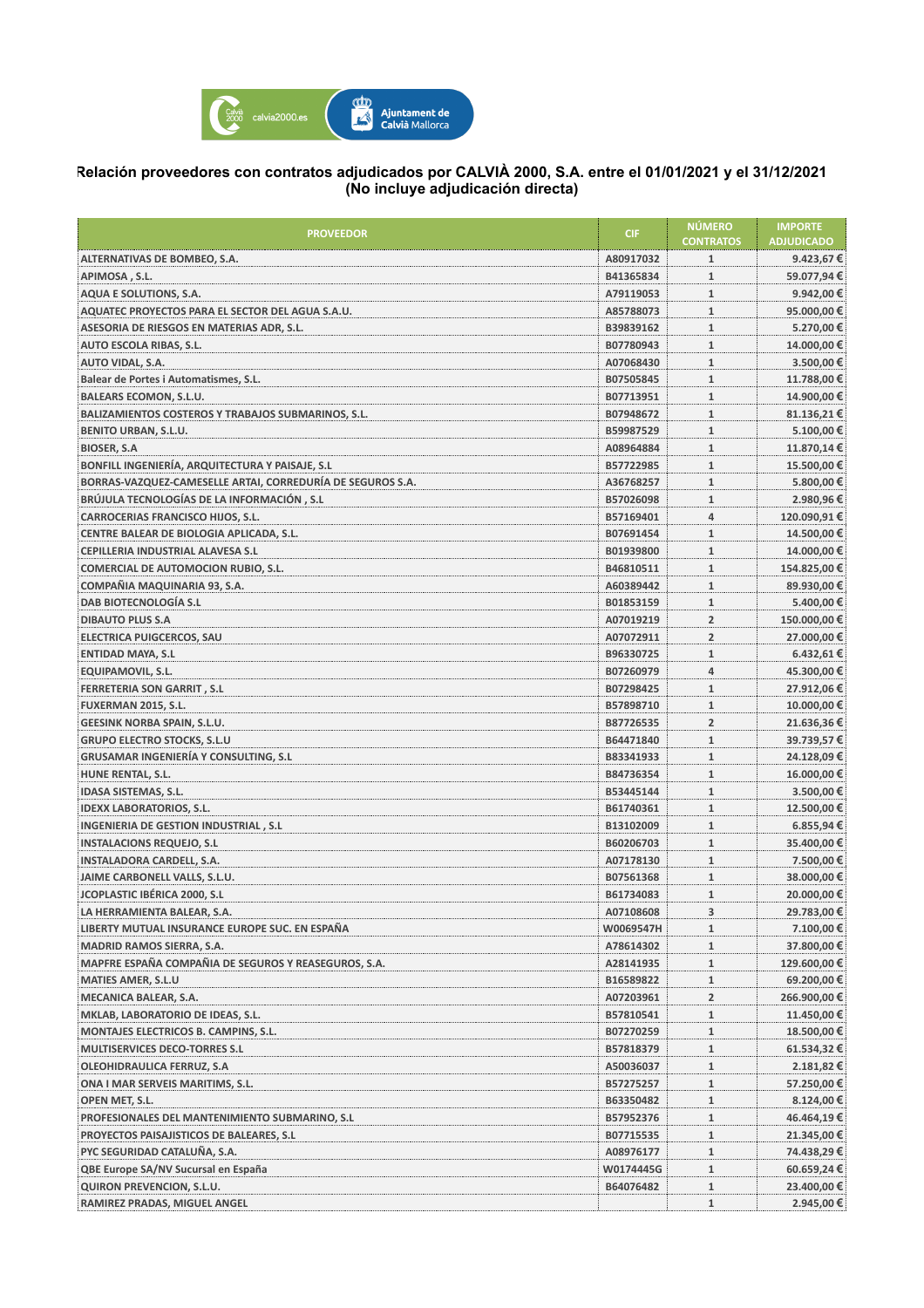

## **Relación proveedores con contratos adjudicados por CALVIÀ 2000, S.A. entre el 01/01/2021 y el 31/12/2021 (No incluye adjudicación directa)**

| ALTERNATIVAS DE BOMBEO, S.A.<br>A80917032<br>9.423,67€<br>1<br>$\mathbf{1}$<br>59.077,94€<br>APIMOSA, S.L.<br>B41365834<br>AQUA E SOLUTIONS, S.A.<br>$\mathbf{1}$<br>9.942,00€<br>A79119053<br>AQUATEC PROYECTOS PARA EL SECTOR DEL AGUA S.A.U.<br>$\mathbf{1}$<br>95.000,00€<br>A85788073<br>$\mathbf{1}$<br>5.270,00€<br>ASESORIA DE RIESGOS EN MATERIAS ADR, S.L.<br>B39839162<br>$\mathbf{1}$<br>14.000,00 €<br><b>AUTO ESCOLA RIBAS, S.L.</b><br>B07780943<br>$\mathbf{1}$<br>3.500,00 €<br>AUTO VIDAL, S.A.<br>A07068430<br>$\mathbf{1}$<br>11.788,00 €<br>Balear de Portes i Automatismes, S.L.<br>B07505845<br>$\mathbf{1}$<br>14.900,00 €<br><b>BALEARS ECOMON, S.L.U.</b><br>B07713951<br>81.136,21€<br>BALIZAMIENTOS COSTEROS Y TRABAJOS SUBMARINOS, S.L.<br>B07948672<br>$\mathbf{1}$<br>$\mathbf{1}$<br>5.100,00€<br><b>BENITO URBAN, S.L.U.</b><br>B59987529<br>$\mathbf{1}$<br>11.870,14 €<br><b>BIOSER, S.A</b><br>A08964884<br>BONFILL INGENIERÍA, ARQUITECTURA Y PAISAJE, S.L<br>15.500,00 €<br>B57722985<br>$\mathbf{1}$<br>BORRAS-VAZQUEZ-CAMESELLE ARTAI, CORREDURÍA DE SEGUROS S.A.<br>$\mathbf{1}$<br>5.800,00 €<br>A36768257<br>BRÚJULA TECNOLOGÍAS DE LA INFORMACIÓN, S.L<br>$\mathbf{1}$<br>2.980,96€<br>B57026098<br>CARROCERIAS FRANCISCO HIJOS, S.L.<br>$\overline{4}$<br>120.090,91€<br>B57169401<br>$\mathbf{1}$<br>14.500,00 €<br>CENTRE BALEAR DE BIOLOGIA APLICADA, S.L.<br>B07691454<br>$\mathbf{1}$<br>14.000,00 €<br>CEPILLERIA INDUSTRIAL ALAVESA S.L<br>B01939800<br>$\mathbf{1}$<br>154.825,00 €<br><b>COMERCIAL DE AUTOMOCION RUBIO, S.L.</b><br>B46810511<br>COMPAÑIA MAQUINARIA 93, S.A.<br>$\mathbf{1}$<br>89.930,00 €<br>A60389442<br>DAB BIOTECNOLOGÍA S.L<br>$\mathbf{1}$<br>5.400,00 €<br>B01853159<br>$\overline{2}$<br>150.000,00 €<br><b>DIBAUTO PLUS S.A</b><br>A07019219<br><b>ELECTRICA PUIGCERCOS, SAU</b><br>$\overline{2}$<br>27.000,00€<br>A07072911<br>$\mathbf{1}$<br><b>ENTIDAD MAYA, S.L</b><br>B96330725<br>6.432,61€<br>$\overline{4}$<br>45.300,00 €<br><b>EQUIPAMOVIL, S.L.</b><br>B07260979<br>$\mathbf{1}$<br>27.912,06 €<br><b>FERRETERIA SON GARRIT, S.L</b><br>B07298425<br>$\mathbf{1}$<br>10.000,00€<br>FUXERMAN 2015, S.L.<br>B57898710<br>$\overline{2}$<br><b>GEESINK NORBA SPAIN, S.L.U.</b><br>B87726535<br>21.636,36€<br><b>GRUPO ELECTRO STOCKS, S.L.U</b><br>$\mathbf{1}$<br>39.739,57€<br>B64471840<br><b>GRUSAMAR INGENIERÍA Y CONSULTING, S.L</b><br>$\mathbf{1}$<br>24.128,09€<br>B83341933<br>$\mathbf{1}$<br>16.000,00€<br>HUNE RENTAL, S.L.<br>B84736354<br>$\mathbf{1}$<br>3.500,00 €<br><b>IDASA SISTEMAS, S.L.</b><br>B53445144<br>$\mathbf{1}$<br>12.500,00 €<br><b>IDEXX LABORATORIOS, S.L.</b><br>B61740361<br>$\mathbf{1}$<br>INGENIERIA DE GESTION INDUSTRIAL, S.L.<br>B13102009<br>$6.855,94 \in$<br><b>INSTALACIONS REQUEJO, S.L</b><br>B60206703<br>$\mathbf{1}$<br>35.400,00€<br><b>INSTALADORA CARDELL, S.A.</b><br>7.500,00 €<br>A07178130<br>$\mathbf{1}$<br>JAIME CARBONELL VALLS, S.L.U.<br>$\mathbf{1}$<br>38.000,00 €<br>B07561368<br><b>JCOPLASTIC IBÉRICA 2000, S.L</b><br>$\mathbf{1}$<br>20.000,00€<br>B61734083<br>3<br>29.783,00 €<br>LA HERRAMIENTA BALEAR, S.A.<br>A07108608<br>$\mathbf{1}$<br>7.100,00 €<br>LIBERTY MUTUAL INSURANCE EUROPE SUC. EN ESPAÑA<br>W0069547H<br><b>MADRID RAMOS SIERRA, S.A.</b><br>37.800,00€<br>A78614302<br>$\mathbf{1}$<br>MAPFRE ESPAÑA COMPAÑIA DE SEGUROS Y REASEGUROS, S.A.<br>129.600,00 €<br>A28141935<br>$\mathbf{1}$<br><b>MATIES AMER, S.L.U</b><br>B16589822<br>$\mathbf{1}$<br>69.200,00 €<br>MECANICA BALEAR, S.A.<br>A07203961<br>$\overline{2}$<br>266.900,00 €<br>11.450,00 €<br>MKLAB, LABORATORIO DE IDEAS, S.L.<br>B57810541<br>$\mathbf{1}$<br>$\mathbf{1}$<br>18.500,00 €<br>MONTAJES ELECTRICOS B. CAMPINS, S.L.<br>B07270259<br>$\mathbf{1}$<br><b>MULTISERVICES DECO-TORRES S.L</b><br>B57818379<br>61.534,32 €<br><b>OLEOHIDRAULICA FERRUZ, S.A</b><br>A50036037<br>$\mathbf{1}$<br>2.181,82 €<br>ONA I MAR SERVEIS MARITIMS, S.L.<br>57.250,00€<br>B57275257<br>$\mathbf{1}$<br>OPEN MET, S.L.<br>B63350482<br>$\mathbf{1}$<br>8.124,00 €<br>PROFESIONALES DEL MANTENIMIENTO SUBMARINO, S.L.<br>46.464,19€<br>B57952376<br>$\mathbf{1}$<br>PROYECTOS PAISAJISTICOS DE BALEARES, S.L.<br>B07715535<br>$\mathbf{1}$<br>21.345,00€<br>PYC SEGURIDAD CATALUÑA, S.A.<br>$\mathbf{1}$<br>74.438,29 €<br>A08976177<br>QBE Europe SA/NV Sucursal en España<br>60.659,24 €<br>W0174445G<br>$\mathbf{1}$<br>QUIRON PREVENCION, S.L.U.<br>23.400,00 €<br>B64076482<br>$\mathbf{1}$<br>2.945,00 €<br>RAMIREZ PRADAS, MIGUEL ANGEL<br>$\mathbf{1}$ | <b>PROVEEDOR</b> | <b>CIF</b> | <b>NÚMERO</b><br><b>CONTRATOS</b> | <b>IMPORTE</b><br><b>ADJUDICADO</b> |
|--------------------------------------------------------------------------------------------------------------------------------------------------------------------------------------------------------------------------------------------------------------------------------------------------------------------------------------------------------------------------------------------------------------------------------------------------------------------------------------------------------------------------------------------------------------------------------------------------------------------------------------------------------------------------------------------------------------------------------------------------------------------------------------------------------------------------------------------------------------------------------------------------------------------------------------------------------------------------------------------------------------------------------------------------------------------------------------------------------------------------------------------------------------------------------------------------------------------------------------------------------------------------------------------------------------------------------------------------------------------------------------------------------------------------------------------------------------------------------------------------------------------------------------------------------------------------------------------------------------------------------------------------------------------------------------------------------------------------------------------------------------------------------------------------------------------------------------------------------------------------------------------------------------------------------------------------------------------------------------------------------------------------------------------------------------------------------------------------------------------------------------------------------------------------------------------------------------------------------------------------------------------------------------------------------------------------------------------------------------------------------------------------------------------------------------------------------------------------------------------------------------------------------------------------------------------------------------------------------------------------------------------------------------------------------------------------------------------------------------------------------------------------------------------------------------------------------------------------------------------------------------------------------------------------------------------------------------------------------------------------------------------------------------------------------------------------------------------------------------------------------------------------------------------------------------------------------------------------------------------------------------------------------------------------------------------------------------------------------------------------------------------------------------------------------------------------------------------------------------------------------------------------------------------------------------------------------------------------------------------------------------------------------------------------------------------------------------------------------------------------------------------------------------------------------------------------------------------------------------------------------------------------------------------------------------------------------------------------------------------------------------------------------------------------------------------------------------------------------------------------------------------------------------------------------------------------------------------------------------------------------------------------------------------------------------------------------------------------------------------------------------------------------------------------------------------------------------------------------------------------------------------------------------------------------------------------------------------------------------------|------------------|------------|-----------------------------------|-------------------------------------|
|                                                                                                                                                                                                                                                                                                                                                                                                                                                                                                                                                                                                                                                                                                                                                                                                                                                                                                                                                                                                                                                                                                                                                                                                                                                                                                                                                                                                                                                                                                                                                                                                                                                                                                                                                                                                                                                                                                                                                                                                                                                                                                                                                                                                                                                                                                                                                                                                                                                                                                                                                                                                                                                                                                                                                                                                                                                                                                                                                                                                                                                                                                                                                                                                                                                                                                                                                                                                                                                                                                                                                                                                                                                                                                                                                                                                                                                                                                                                                                                                                                                                                                                                                                                                                                                                                                                                                                                                                                                                                                                                                                                                                    |                  |            |                                   |                                     |
|                                                                                                                                                                                                                                                                                                                                                                                                                                                                                                                                                                                                                                                                                                                                                                                                                                                                                                                                                                                                                                                                                                                                                                                                                                                                                                                                                                                                                                                                                                                                                                                                                                                                                                                                                                                                                                                                                                                                                                                                                                                                                                                                                                                                                                                                                                                                                                                                                                                                                                                                                                                                                                                                                                                                                                                                                                                                                                                                                                                                                                                                                                                                                                                                                                                                                                                                                                                                                                                                                                                                                                                                                                                                                                                                                                                                                                                                                                                                                                                                                                                                                                                                                                                                                                                                                                                                                                                                                                                                                                                                                                                                                    |                  |            |                                   |                                     |
|                                                                                                                                                                                                                                                                                                                                                                                                                                                                                                                                                                                                                                                                                                                                                                                                                                                                                                                                                                                                                                                                                                                                                                                                                                                                                                                                                                                                                                                                                                                                                                                                                                                                                                                                                                                                                                                                                                                                                                                                                                                                                                                                                                                                                                                                                                                                                                                                                                                                                                                                                                                                                                                                                                                                                                                                                                                                                                                                                                                                                                                                                                                                                                                                                                                                                                                                                                                                                                                                                                                                                                                                                                                                                                                                                                                                                                                                                                                                                                                                                                                                                                                                                                                                                                                                                                                                                                                                                                                                                                                                                                                                                    |                  |            |                                   |                                     |
|                                                                                                                                                                                                                                                                                                                                                                                                                                                                                                                                                                                                                                                                                                                                                                                                                                                                                                                                                                                                                                                                                                                                                                                                                                                                                                                                                                                                                                                                                                                                                                                                                                                                                                                                                                                                                                                                                                                                                                                                                                                                                                                                                                                                                                                                                                                                                                                                                                                                                                                                                                                                                                                                                                                                                                                                                                                                                                                                                                                                                                                                                                                                                                                                                                                                                                                                                                                                                                                                                                                                                                                                                                                                                                                                                                                                                                                                                                                                                                                                                                                                                                                                                                                                                                                                                                                                                                                                                                                                                                                                                                                                                    |                  |            |                                   |                                     |
|                                                                                                                                                                                                                                                                                                                                                                                                                                                                                                                                                                                                                                                                                                                                                                                                                                                                                                                                                                                                                                                                                                                                                                                                                                                                                                                                                                                                                                                                                                                                                                                                                                                                                                                                                                                                                                                                                                                                                                                                                                                                                                                                                                                                                                                                                                                                                                                                                                                                                                                                                                                                                                                                                                                                                                                                                                                                                                                                                                                                                                                                                                                                                                                                                                                                                                                                                                                                                                                                                                                                                                                                                                                                                                                                                                                                                                                                                                                                                                                                                                                                                                                                                                                                                                                                                                                                                                                                                                                                                                                                                                                                                    |                  |            |                                   |                                     |
|                                                                                                                                                                                                                                                                                                                                                                                                                                                                                                                                                                                                                                                                                                                                                                                                                                                                                                                                                                                                                                                                                                                                                                                                                                                                                                                                                                                                                                                                                                                                                                                                                                                                                                                                                                                                                                                                                                                                                                                                                                                                                                                                                                                                                                                                                                                                                                                                                                                                                                                                                                                                                                                                                                                                                                                                                                                                                                                                                                                                                                                                                                                                                                                                                                                                                                                                                                                                                                                                                                                                                                                                                                                                                                                                                                                                                                                                                                                                                                                                                                                                                                                                                                                                                                                                                                                                                                                                                                                                                                                                                                                                                    |                  |            |                                   |                                     |
|                                                                                                                                                                                                                                                                                                                                                                                                                                                                                                                                                                                                                                                                                                                                                                                                                                                                                                                                                                                                                                                                                                                                                                                                                                                                                                                                                                                                                                                                                                                                                                                                                                                                                                                                                                                                                                                                                                                                                                                                                                                                                                                                                                                                                                                                                                                                                                                                                                                                                                                                                                                                                                                                                                                                                                                                                                                                                                                                                                                                                                                                                                                                                                                                                                                                                                                                                                                                                                                                                                                                                                                                                                                                                                                                                                                                                                                                                                                                                                                                                                                                                                                                                                                                                                                                                                                                                                                                                                                                                                                                                                                                                    |                  |            |                                   |                                     |
|                                                                                                                                                                                                                                                                                                                                                                                                                                                                                                                                                                                                                                                                                                                                                                                                                                                                                                                                                                                                                                                                                                                                                                                                                                                                                                                                                                                                                                                                                                                                                                                                                                                                                                                                                                                                                                                                                                                                                                                                                                                                                                                                                                                                                                                                                                                                                                                                                                                                                                                                                                                                                                                                                                                                                                                                                                                                                                                                                                                                                                                                                                                                                                                                                                                                                                                                                                                                                                                                                                                                                                                                                                                                                                                                                                                                                                                                                                                                                                                                                                                                                                                                                                                                                                                                                                                                                                                                                                                                                                                                                                                                                    |                  |            |                                   |                                     |
|                                                                                                                                                                                                                                                                                                                                                                                                                                                                                                                                                                                                                                                                                                                                                                                                                                                                                                                                                                                                                                                                                                                                                                                                                                                                                                                                                                                                                                                                                                                                                                                                                                                                                                                                                                                                                                                                                                                                                                                                                                                                                                                                                                                                                                                                                                                                                                                                                                                                                                                                                                                                                                                                                                                                                                                                                                                                                                                                                                                                                                                                                                                                                                                                                                                                                                                                                                                                                                                                                                                                                                                                                                                                                                                                                                                                                                                                                                                                                                                                                                                                                                                                                                                                                                                                                                                                                                                                                                                                                                                                                                                                                    |                  |            |                                   |                                     |
|                                                                                                                                                                                                                                                                                                                                                                                                                                                                                                                                                                                                                                                                                                                                                                                                                                                                                                                                                                                                                                                                                                                                                                                                                                                                                                                                                                                                                                                                                                                                                                                                                                                                                                                                                                                                                                                                                                                                                                                                                                                                                                                                                                                                                                                                                                                                                                                                                                                                                                                                                                                                                                                                                                                                                                                                                                                                                                                                                                                                                                                                                                                                                                                                                                                                                                                                                                                                                                                                                                                                                                                                                                                                                                                                                                                                                                                                                                                                                                                                                                                                                                                                                                                                                                                                                                                                                                                                                                                                                                                                                                                                                    |                  |            |                                   |                                     |
|                                                                                                                                                                                                                                                                                                                                                                                                                                                                                                                                                                                                                                                                                                                                                                                                                                                                                                                                                                                                                                                                                                                                                                                                                                                                                                                                                                                                                                                                                                                                                                                                                                                                                                                                                                                                                                                                                                                                                                                                                                                                                                                                                                                                                                                                                                                                                                                                                                                                                                                                                                                                                                                                                                                                                                                                                                                                                                                                                                                                                                                                                                                                                                                                                                                                                                                                                                                                                                                                                                                                                                                                                                                                                                                                                                                                                                                                                                                                                                                                                                                                                                                                                                                                                                                                                                                                                                                                                                                                                                                                                                                                                    |                  |            |                                   |                                     |
|                                                                                                                                                                                                                                                                                                                                                                                                                                                                                                                                                                                                                                                                                                                                                                                                                                                                                                                                                                                                                                                                                                                                                                                                                                                                                                                                                                                                                                                                                                                                                                                                                                                                                                                                                                                                                                                                                                                                                                                                                                                                                                                                                                                                                                                                                                                                                                                                                                                                                                                                                                                                                                                                                                                                                                                                                                                                                                                                                                                                                                                                                                                                                                                                                                                                                                                                                                                                                                                                                                                                                                                                                                                                                                                                                                                                                                                                                                                                                                                                                                                                                                                                                                                                                                                                                                                                                                                                                                                                                                                                                                                                                    |                  |            |                                   |                                     |
|                                                                                                                                                                                                                                                                                                                                                                                                                                                                                                                                                                                                                                                                                                                                                                                                                                                                                                                                                                                                                                                                                                                                                                                                                                                                                                                                                                                                                                                                                                                                                                                                                                                                                                                                                                                                                                                                                                                                                                                                                                                                                                                                                                                                                                                                                                                                                                                                                                                                                                                                                                                                                                                                                                                                                                                                                                                                                                                                                                                                                                                                                                                                                                                                                                                                                                                                                                                                                                                                                                                                                                                                                                                                                                                                                                                                                                                                                                                                                                                                                                                                                                                                                                                                                                                                                                                                                                                                                                                                                                                                                                                                                    |                  |            |                                   |                                     |
|                                                                                                                                                                                                                                                                                                                                                                                                                                                                                                                                                                                                                                                                                                                                                                                                                                                                                                                                                                                                                                                                                                                                                                                                                                                                                                                                                                                                                                                                                                                                                                                                                                                                                                                                                                                                                                                                                                                                                                                                                                                                                                                                                                                                                                                                                                                                                                                                                                                                                                                                                                                                                                                                                                                                                                                                                                                                                                                                                                                                                                                                                                                                                                                                                                                                                                                                                                                                                                                                                                                                                                                                                                                                                                                                                                                                                                                                                                                                                                                                                                                                                                                                                                                                                                                                                                                                                                                                                                                                                                                                                                                                                    |                  |            |                                   |                                     |
|                                                                                                                                                                                                                                                                                                                                                                                                                                                                                                                                                                                                                                                                                                                                                                                                                                                                                                                                                                                                                                                                                                                                                                                                                                                                                                                                                                                                                                                                                                                                                                                                                                                                                                                                                                                                                                                                                                                                                                                                                                                                                                                                                                                                                                                                                                                                                                                                                                                                                                                                                                                                                                                                                                                                                                                                                                                                                                                                                                                                                                                                                                                                                                                                                                                                                                                                                                                                                                                                                                                                                                                                                                                                                                                                                                                                                                                                                                                                                                                                                                                                                                                                                                                                                                                                                                                                                                                                                                                                                                                                                                                                                    |                  |            |                                   |                                     |
|                                                                                                                                                                                                                                                                                                                                                                                                                                                                                                                                                                                                                                                                                                                                                                                                                                                                                                                                                                                                                                                                                                                                                                                                                                                                                                                                                                                                                                                                                                                                                                                                                                                                                                                                                                                                                                                                                                                                                                                                                                                                                                                                                                                                                                                                                                                                                                                                                                                                                                                                                                                                                                                                                                                                                                                                                                                                                                                                                                                                                                                                                                                                                                                                                                                                                                                                                                                                                                                                                                                                                                                                                                                                                                                                                                                                                                                                                                                                                                                                                                                                                                                                                                                                                                                                                                                                                                                                                                                                                                                                                                                                                    |                  |            |                                   |                                     |
|                                                                                                                                                                                                                                                                                                                                                                                                                                                                                                                                                                                                                                                                                                                                                                                                                                                                                                                                                                                                                                                                                                                                                                                                                                                                                                                                                                                                                                                                                                                                                                                                                                                                                                                                                                                                                                                                                                                                                                                                                                                                                                                                                                                                                                                                                                                                                                                                                                                                                                                                                                                                                                                                                                                                                                                                                                                                                                                                                                                                                                                                                                                                                                                                                                                                                                                                                                                                                                                                                                                                                                                                                                                                                                                                                                                                                                                                                                                                                                                                                                                                                                                                                                                                                                                                                                                                                                                                                                                                                                                                                                                                                    |                  |            |                                   |                                     |
|                                                                                                                                                                                                                                                                                                                                                                                                                                                                                                                                                                                                                                                                                                                                                                                                                                                                                                                                                                                                                                                                                                                                                                                                                                                                                                                                                                                                                                                                                                                                                                                                                                                                                                                                                                                                                                                                                                                                                                                                                                                                                                                                                                                                                                                                                                                                                                                                                                                                                                                                                                                                                                                                                                                                                                                                                                                                                                                                                                                                                                                                                                                                                                                                                                                                                                                                                                                                                                                                                                                                                                                                                                                                                                                                                                                                                                                                                                                                                                                                                                                                                                                                                                                                                                                                                                                                                                                                                                                                                                                                                                                                                    |                  |            |                                   |                                     |
|                                                                                                                                                                                                                                                                                                                                                                                                                                                                                                                                                                                                                                                                                                                                                                                                                                                                                                                                                                                                                                                                                                                                                                                                                                                                                                                                                                                                                                                                                                                                                                                                                                                                                                                                                                                                                                                                                                                                                                                                                                                                                                                                                                                                                                                                                                                                                                                                                                                                                                                                                                                                                                                                                                                                                                                                                                                                                                                                                                                                                                                                                                                                                                                                                                                                                                                                                                                                                                                                                                                                                                                                                                                                                                                                                                                                                                                                                                                                                                                                                                                                                                                                                                                                                                                                                                                                                                                                                                                                                                                                                                                                                    |                  |            |                                   |                                     |
|                                                                                                                                                                                                                                                                                                                                                                                                                                                                                                                                                                                                                                                                                                                                                                                                                                                                                                                                                                                                                                                                                                                                                                                                                                                                                                                                                                                                                                                                                                                                                                                                                                                                                                                                                                                                                                                                                                                                                                                                                                                                                                                                                                                                                                                                                                                                                                                                                                                                                                                                                                                                                                                                                                                                                                                                                                                                                                                                                                                                                                                                                                                                                                                                                                                                                                                                                                                                                                                                                                                                                                                                                                                                                                                                                                                                                                                                                                                                                                                                                                                                                                                                                                                                                                                                                                                                                                                                                                                                                                                                                                                                                    |                  |            |                                   |                                     |
|                                                                                                                                                                                                                                                                                                                                                                                                                                                                                                                                                                                                                                                                                                                                                                                                                                                                                                                                                                                                                                                                                                                                                                                                                                                                                                                                                                                                                                                                                                                                                                                                                                                                                                                                                                                                                                                                                                                                                                                                                                                                                                                                                                                                                                                                                                                                                                                                                                                                                                                                                                                                                                                                                                                                                                                                                                                                                                                                                                                                                                                                                                                                                                                                                                                                                                                                                                                                                                                                                                                                                                                                                                                                                                                                                                                                                                                                                                                                                                                                                                                                                                                                                                                                                                                                                                                                                                                                                                                                                                                                                                                                                    |                  |            |                                   |                                     |
|                                                                                                                                                                                                                                                                                                                                                                                                                                                                                                                                                                                                                                                                                                                                                                                                                                                                                                                                                                                                                                                                                                                                                                                                                                                                                                                                                                                                                                                                                                                                                                                                                                                                                                                                                                                                                                                                                                                                                                                                                                                                                                                                                                                                                                                                                                                                                                                                                                                                                                                                                                                                                                                                                                                                                                                                                                                                                                                                                                                                                                                                                                                                                                                                                                                                                                                                                                                                                                                                                                                                                                                                                                                                                                                                                                                                                                                                                                                                                                                                                                                                                                                                                                                                                                                                                                                                                                                                                                                                                                                                                                                                                    |                  |            |                                   |                                     |
|                                                                                                                                                                                                                                                                                                                                                                                                                                                                                                                                                                                                                                                                                                                                                                                                                                                                                                                                                                                                                                                                                                                                                                                                                                                                                                                                                                                                                                                                                                                                                                                                                                                                                                                                                                                                                                                                                                                                                                                                                                                                                                                                                                                                                                                                                                                                                                                                                                                                                                                                                                                                                                                                                                                                                                                                                                                                                                                                                                                                                                                                                                                                                                                                                                                                                                                                                                                                                                                                                                                                                                                                                                                                                                                                                                                                                                                                                                                                                                                                                                                                                                                                                                                                                                                                                                                                                                                                                                                                                                                                                                                                                    |                  |            |                                   |                                     |
|                                                                                                                                                                                                                                                                                                                                                                                                                                                                                                                                                                                                                                                                                                                                                                                                                                                                                                                                                                                                                                                                                                                                                                                                                                                                                                                                                                                                                                                                                                                                                                                                                                                                                                                                                                                                                                                                                                                                                                                                                                                                                                                                                                                                                                                                                                                                                                                                                                                                                                                                                                                                                                                                                                                                                                                                                                                                                                                                                                                                                                                                                                                                                                                                                                                                                                                                                                                                                                                                                                                                                                                                                                                                                                                                                                                                                                                                                                                                                                                                                                                                                                                                                                                                                                                                                                                                                                                                                                                                                                                                                                                                                    |                  |            |                                   |                                     |
|                                                                                                                                                                                                                                                                                                                                                                                                                                                                                                                                                                                                                                                                                                                                                                                                                                                                                                                                                                                                                                                                                                                                                                                                                                                                                                                                                                                                                                                                                                                                                                                                                                                                                                                                                                                                                                                                                                                                                                                                                                                                                                                                                                                                                                                                                                                                                                                                                                                                                                                                                                                                                                                                                                                                                                                                                                                                                                                                                                                                                                                                                                                                                                                                                                                                                                                                                                                                                                                                                                                                                                                                                                                                                                                                                                                                                                                                                                                                                                                                                                                                                                                                                                                                                                                                                                                                                                                                                                                                                                                                                                                                                    |                  |            |                                   |                                     |
|                                                                                                                                                                                                                                                                                                                                                                                                                                                                                                                                                                                                                                                                                                                                                                                                                                                                                                                                                                                                                                                                                                                                                                                                                                                                                                                                                                                                                                                                                                                                                                                                                                                                                                                                                                                                                                                                                                                                                                                                                                                                                                                                                                                                                                                                                                                                                                                                                                                                                                                                                                                                                                                                                                                                                                                                                                                                                                                                                                                                                                                                                                                                                                                                                                                                                                                                                                                                                                                                                                                                                                                                                                                                                                                                                                                                                                                                                                                                                                                                                                                                                                                                                                                                                                                                                                                                                                                                                                                                                                                                                                                                                    |                  |            |                                   |                                     |
|                                                                                                                                                                                                                                                                                                                                                                                                                                                                                                                                                                                                                                                                                                                                                                                                                                                                                                                                                                                                                                                                                                                                                                                                                                                                                                                                                                                                                                                                                                                                                                                                                                                                                                                                                                                                                                                                                                                                                                                                                                                                                                                                                                                                                                                                                                                                                                                                                                                                                                                                                                                                                                                                                                                                                                                                                                                                                                                                                                                                                                                                                                                                                                                                                                                                                                                                                                                                                                                                                                                                                                                                                                                                                                                                                                                                                                                                                                                                                                                                                                                                                                                                                                                                                                                                                                                                                                                                                                                                                                                                                                                                                    |                  |            |                                   |                                     |
|                                                                                                                                                                                                                                                                                                                                                                                                                                                                                                                                                                                                                                                                                                                                                                                                                                                                                                                                                                                                                                                                                                                                                                                                                                                                                                                                                                                                                                                                                                                                                                                                                                                                                                                                                                                                                                                                                                                                                                                                                                                                                                                                                                                                                                                                                                                                                                                                                                                                                                                                                                                                                                                                                                                                                                                                                                                                                                                                                                                                                                                                                                                                                                                                                                                                                                                                                                                                                                                                                                                                                                                                                                                                                                                                                                                                                                                                                                                                                                                                                                                                                                                                                                                                                                                                                                                                                                                                                                                                                                                                                                                                                    |                  |            |                                   |                                     |
|                                                                                                                                                                                                                                                                                                                                                                                                                                                                                                                                                                                                                                                                                                                                                                                                                                                                                                                                                                                                                                                                                                                                                                                                                                                                                                                                                                                                                                                                                                                                                                                                                                                                                                                                                                                                                                                                                                                                                                                                                                                                                                                                                                                                                                                                                                                                                                                                                                                                                                                                                                                                                                                                                                                                                                                                                                                                                                                                                                                                                                                                                                                                                                                                                                                                                                                                                                                                                                                                                                                                                                                                                                                                                                                                                                                                                                                                                                                                                                                                                                                                                                                                                                                                                                                                                                                                                                                                                                                                                                                                                                                                                    |                  |            |                                   |                                     |
|                                                                                                                                                                                                                                                                                                                                                                                                                                                                                                                                                                                                                                                                                                                                                                                                                                                                                                                                                                                                                                                                                                                                                                                                                                                                                                                                                                                                                                                                                                                                                                                                                                                                                                                                                                                                                                                                                                                                                                                                                                                                                                                                                                                                                                                                                                                                                                                                                                                                                                                                                                                                                                                                                                                                                                                                                                                                                                                                                                                                                                                                                                                                                                                                                                                                                                                                                                                                                                                                                                                                                                                                                                                                                                                                                                                                                                                                                                                                                                                                                                                                                                                                                                                                                                                                                                                                                                                                                                                                                                                                                                                                                    |                  |            |                                   |                                     |
|                                                                                                                                                                                                                                                                                                                                                                                                                                                                                                                                                                                                                                                                                                                                                                                                                                                                                                                                                                                                                                                                                                                                                                                                                                                                                                                                                                                                                                                                                                                                                                                                                                                                                                                                                                                                                                                                                                                                                                                                                                                                                                                                                                                                                                                                                                                                                                                                                                                                                                                                                                                                                                                                                                                                                                                                                                                                                                                                                                                                                                                                                                                                                                                                                                                                                                                                                                                                                                                                                                                                                                                                                                                                                                                                                                                                                                                                                                                                                                                                                                                                                                                                                                                                                                                                                                                                                                                                                                                                                                                                                                                                                    |                  |            |                                   |                                     |
|                                                                                                                                                                                                                                                                                                                                                                                                                                                                                                                                                                                                                                                                                                                                                                                                                                                                                                                                                                                                                                                                                                                                                                                                                                                                                                                                                                                                                                                                                                                                                                                                                                                                                                                                                                                                                                                                                                                                                                                                                                                                                                                                                                                                                                                                                                                                                                                                                                                                                                                                                                                                                                                                                                                                                                                                                                                                                                                                                                                                                                                                                                                                                                                                                                                                                                                                                                                                                                                                                                                                                                                                                                                                                                                                                                                                                                                                                                                                                                                                                                                                                                                                                                                                                                                                                                                                                                                                                                                                                                                                                                                                                    |                  |            |                                   |                                     |
|                                                                                                                                                                                                                                                                                                                                                                                                                                                                                                                                                                                                                                                                                                                                                                                                                                                                                                                                                                                                                                                                                                                                                                                                                                                                                                                                                                                                                                                                                                                                                                                                                                                                                                                                                                                                                                                                                                                                                                                                                                                                                                                                                                                                                                                                                                                                                                                                                                                                                                                                                                                                                                                                                                                                                                                                                                                                                                                                                                                                                                                                                                                                                                                                                                                                                                                                                                                                                                                                                                                                                                                                                                                                                                                                                                                                                                                                                                                                                                                                                                                                                                                                                                                                                                                                                                                                                                                                                                                                                                                                                                                                                    |                  |            |                                   |                                     |
|                                                                                                                                                                                                                                                                                                                                                                                                                                                                                                                                                                                                                                                                                                                                                                                                                                                                                                                                                                                                                                                                                                                                                                                                                                                                                                                                                                                                                                                                                                                                                                                                                                                                                                                                                                                                                                                                                                                                                                                                                                                                                                                                                                                                                                                                                                                                                                                                                                                                                                                                                                                                                                                                                                                                                                                                                                                                                                                                                                                                                                                                                                                                                                                                                                                                                                                                                                                                                                                                                                                                                                                                                                                                                                                                                                                                                                                                                                                                                                                                                                                                                                                                                                                                                                                                                                                                                                                                                                                                                                                                                                                                                    |                  |            |                                   |                                     |
|                                                                                                                                                                                                                                                                                                                                                                                                                                                                                                                                                                                                                                                                                                                                                                                                                                                                                                                                                                                                                                                                                                                                                                                                                                                                                                                                                                                                                                                                                                                                                                                                                                                                                                                                                                                                                                                                                                                                                                                                                                                                                                                                                                                                                                                                                                                                                                                                                                                                                                                                                                                                                                                                                                                                                                                                                                                                                                                                                                                                                                                                                                                                                                                                                                                                                                                                                                                                                                                                                                                                                                                                                                                                                                                                                                                                                                                                                                                                                                                                                                                                                                                                                                                                                                                                                                                                                                                                                                                                                                                                                                                                                    |                  |            |                                   |                                     |
|                                                                                                                                                                                                                                                                                                                                                                                                                                                                                                                                                                                                                                                                                                                                                                                                                                                                                                                                                                                                                                                                                                                                                                                                                                                                                                                                                                                                                                                                                                                                                                                                                                                                                                                                                                                                                                                                                                                                                                                                                                                                                                                                                                                                                                                                                                                                                                                                                                                                                                                                                                                                                                                                                                                                                                                                                                                                                                                                                                                                                                                                                                                                                                                                                                                                                                                                                                                                                                                                                                                                                                                                                                                                                                                                                                                                                                                                                                                                                                                                                                                                                                                                                                                                                                                                                                                                                                                                                                                                                                                                                                                                                    |                  |            |                                   |                                     |
|                                                                                                                                                                                                                                                                                                                                                                                                                                                                                                                                                                                                                                                                                                                                                                                                                                                                                                                                                                                                                                                                                                                                                                                                                                                                                                                                                                                                                                                                                                                                                                                                                                                                                                                                                                                                                                                                                                                                                                                                                                                                                                                                                                                                                                                                                                                                                                                                                                                                                                                                                                                                                                                                                                                                                                                                                                                                                                                                                                                                                                                                                                                                                                                                                                                                                                                                                                                                                                                                                                                                                                                                                                                                                                                                                                                                                                                                                                                                                                                                                                                                                                                                                                                                                                                                                                                                                                                                                                                                                                                                                                                                                    |                  |            |                                   |                                     |
|                                                                                                                                                                                                                                                                                                                                                                                                                                                                                                                                                                                                                                                                                                                                                                                                                                                                                                                                                                                                                                                                                                                                                                                                                                                                                                                                                                                                                                                                                                                                                                                                                                                                                                                                                                                                                                                                                                                                                                                                                                                                                                                                                                                                                                                                                                                                                                                                                                                                                                                                                                                                                                                                                                                                                                                                                                                                                                                                                                                                                                                                                                                                                                                                                                                                                                                                                                                                                                                                                                                                                                                                                                                                                                                                                                                                                                                                                                                                                                                                                                                                                                                                                                                                                                                                                                                                                                                                                                                                                                                                                                                                                    |                  |            |                                   |                                     |
|                                                                                                                                                                                                                                                                                                                                                                                                                                                                                                                                                                                                                                                                                                                                                                                                                                                                                                                                                                                                                                                                                                                                                                                                                                                                                                                                                                                                                                                                                                                                                                                                                                                                                                                                                                                                                                                                                                                                                                                                                                                                                                                                                                                                                                                                                                                                                                                                                                                                                                                                                                                                                                                                                                                                                                                                                                                                                                                                                                                                                                                                                                                                                                                                                                                                                                                                                                                                                                                                                                                                                                                                                                                                                                                                                                                                                                                                                                                                                                                                                                                                                                                                                                                                                                                                                                                                                                                                                                                                                                                                                                                                                    |                  |            |                                   |                                     |
|                                                                                                                                                                                                                                                                                                                                                                                                                                                                                                                                                                                                                                                                                                                                                                                                                                                                                                                                                                                                                                                                                                                                                                                                                                                                                                                                                                                                                                                                                                                                                                                                                                                                                                                                                                                                                                                                                                                                                                                                                                                                                                                                                                                                                                                                                                                                                                                                                                                                                                                                                                                                                                                                                                                                                                                                                                                                                                                                                                                                                                                                                                                                                                                                                                                                                                                                                                                                                                                                                                                                                                                                                                                                                                                                                                                                                                                                                                                                                                                                                                                                                                                                                                                                                                                                                                                                                                                                                                                                                                                                                                                                                    |                  |            |                                   |                                     |
|                                                                                                                                                                                                                                                                                                                                                                                                                                                                                                                                                                                                                                                                                                                                                                                                                                                                                                                                                                                                                                                                                                                                                                                                                                                                                                                                                                                                                                                                                                                                                                                                                                                                                                                                                                                                                                                                                                                                                                                                                                                                                                                                                                                                                                                                                                                                                                                                                                                                                                                                                                                                                                                                                                                                                                                                                                                                                                                                                                                                                                                                                                                                                                                                                                                                                                                                                                                                                                                                                                                                                                                                                                                                                                                                                                                                                                                                                                                                                                                                                                                                                                                                                                                                                                                                                                                                                                                                                                                                                                                                                                                                                    |                  |            |                                   |                                     |
|                                                                                                                                                                                                                                                                                                                                                                                                                                                                                                                                                                                                                                                                                                                                                                                                                                                                                                                                                                                                                                                                                                                                                                                                                                                                                                                                                                                                                                                                                                                                                                                                                                                                                                                                                                                                                                                                                                                                                                                                                                                                                                                                                                                                                                                                                                                                                                                                                                                                                                                                                                                                                                                                                                                                                                                                                                                                                                                                                                                                                                                                                                                                                                                                                                                                                                                                                                                                                                                                                                                                                                                                                                                                                                                                                                                                                                                                                                                                                                                                                                                                                                                                                                                                                                                                                                                                                                                                                                                                                                                                                                                                                    |                  |            |                                   |                                     |
|                                                                                                                                                                                                                                                                                                                                                                                                                                                                                                                                                                                                                                                                                                                                                                                                                                                                                                                                                                                                                                                                                                                                                                                                                                                                                                                                                                                                                                                                                                                                                                                                                                                                                                                                                                                                                                                                                                                                                                                                                                                                                                                                                                                                                                                                                                                                                                                                                                                                                                                                                                                                                                                                                                                                                                                                                                                                                                                                                                                                                                                                                                                                                                                                                                                                                                                                                                                                                                                                                                                                                                                                                                                                                                                                                                                                                                                                                                                                                                                                                                                                                                                                                                                                                                                                                                                                                                                                                                                                                                                                                                                                                    |                  |            |                                   |                                     |
|                                                                                                                                                                                                                                                                                                                                                                                                                                                                                                                                                                                                                                                                                                                                                                                                                                                                                                                                                                                                                                                                                                                                                                                                                                                                                                                                                                                                                                                                                                                                                                                                                                                                                                                                                                                                                                                                                                                                                                                                                                                                                                                                                                                                                                                                                                                                                                                                                                                                                                                                                                                                                                                                                                                                                                                                                                                                                                                                                                                                                                                                                                                                                                                                                                                                                                                                                                                                                                                                                                                                                                                                                                                                                                                                                                                                                                                                                                                                                                                                                                                                                                                                                                                                                                                                                                                                                                                                                                                                                                                                                                                                                    |                  |            |                                   |                                     |
|                                                                                                                                                                                                                                                                                                                                                                                                                                                                                                                                                                                                                                                                                                                                                                                                                                                                                                                                                                                                                                                                                                                                                                                                                                                                                                                                                                                                                                                                                                                                                                                                                                                                                                                                                                                                                                                                                                                                                                                                                                                                                                                                                                                                                                                                                                                                                                                                                                                                                                                                                                                                                                                                                                                                                                                                                                                                                                                                                                                                                                                                                                                                                                                                                                                                                                                                                                                                                                                                                                                                                                                                                                                                                                                                                                                                                                                                                                                                                                                                                                                                                                                                                                                                                                                                                                                                                                                                                                                                                                                                                                                                                    |                  |            |                                   |                                     |
|                                                                                                                                                                                                                                                                                                                                                                                                                                                                                                                                                                                                                                                                                                                                                                                                                                                                                                                                                                                                                                                                                                                                                                                                                                                                                                                                                                                                                                                                                                                                                                                                                                                                                                                                                                                                                                                                                                                                                                                                                                                                                                                                                                                                                                                                                                                                                                                                                                                                                                                                                                                                                                                                                                                                                                                                                                                                                                                                                                                                                                                                                                                                                                                                                                                                                                                                                                                                                                                                                                                                                                                                                                                                                                                                                                                                                                                                                                                                                                                                                                                                                                                                                                                                                                                                                                                                                                                                                                                                                                                                                                                                                    |                  |            |                                   |                                     |
|                                                                                                                                                                                                                                                                                                                                                                                                                                                                                                                                                                                                                                                                                                                                                                                                                                                                                                                                                                                                                                                                                                                                                                                                                                                                                                                                                                                                                                                                                                                                                                                                                                                                                                                                                                                                                                                                                                                                                                                                                                                                                                                                                                                                                                                                                                                                                                                                                                                                                                                                                                                                                                                                                                                                                                                                                                                                                                                                                                                                                                                                                                                                                                                                                                                                                                                                                                                                                                                                                                                                                                                                                                                                                                                                                                                                                                                                                                                                                                                                                                                                                                                                                                                                                                                                                                                                                                                                                                                                                                                                                                                                                    |                  |            |                                   |                                     |
|                                                                                                                                                                                                                                                                                                                                                                                                                                                                                                                                                                                                                                                                                                                                                                                                                                                                                                                                                                                                                                                                                                                                                                                                                                                                                                                                                                                                                                                                                                                                                                                                                                                                                                                                                                                                                                                                                                                                                                                                                                                                                                                                                                                                                                                                                                                                                                                                                                                                                                                                                                                                                                                                                                                                                                                                                                                                                                                                                                                                                                                                                                                                                                                                                                                                                                                                                                                                                                                                                                                                                                                                                                                                                                                                                                                                                                                                                                                                                                                                                                                                                                                                                                                                                                                                                                                                                                                                                                                                                                                                                                                                                    |                  |            |                                   |                                     |
|                                                                                                                                                                                                                                                                                                                                                                                                                                                                                                                                                                                                                                                                                                                                                                                                                                                                                                                                                                                                                                                                                                                                                                                                                                                                                                                                                                                                                                                                                                                                                                                                                                                                                                                                                                                                                                                                                                                                                                                                                                                                                                                                                                                                                                                                                                                                                                                                                                                                                                                                                                                                                                                                                                                                                                                                                                                                                                                                                                                                                                                                                                                                                                                                                                                                                                                                                                                                                                                                                                                                                                                                                                                                                                                                                                                                                                                                                                                                                                                                                                                                                                                                                                                                                                                                                                                                                                                                                                                                                                                                                                                                                    |                  |            |                                   |                                     |
|                                                                                                                                                                                                                                                                                                                                                                                                                                                                                                                                                                                                                                                                                                                                                                                                                                                                                                                                                                                                                                                                                                                                                                                                                                                                                                                                                                                                                                                                                                                                                                                                                                                                                                                                                                                                                                                                                                                                                                                                                                                                                                                                                                                                                                                                                                                                                                                                                                                                                                                                                                                                                                                                                                                                                                                                                                                                                                                                                                                                                                                                                                                                                                                                                                                                                                                                                                                                                                                                                                                                                                                                                                                                                                                                                                                                                                                                                                                                                                                                                                                                                                                                                                                                                                                                                                                                                                                                                                                                                                                                                                                                                    |                  |            |                                   |                                     |
|                                                                                                                                                                                                                                                                                                                                                                                                                                                                                                                                                                                                                                                                                                                                                                                                                                                                                                                                                                                                                                                                                                                                                                                                                                                                                                                                                                                                                                                                                                                                                                                                                                                                                                                                                                                                                                                                                                                                                                                                                                                                                                                                                                                                                                                                                                                                                                                                                                                                                                                                                                                                                                                                                                                                                                                                                                                                                                                                                                                                                                                                                                                                                                                                                                                                                                                                                                                                                                                                                                                                                                                                                                                                                                                                                                                                                                                                                                                                                                                                                                                                                                                                                                                                                                                                                                                                                                                                                                                                                                                                                                                                                    |                  |            |                                   |                                     |
|                                                                                                                                                                                                                                                                                                                                                                                                                                                                                                                                                                                                                                                                                                                                                                                                                                                                                                                                                                                                                                                                                                                                                                                                                                                                                                                                                                                                                                                                                                                                                                                                                                                                                                                                                                                                                                                                                                                                                                                                                                                                                                                                                                                                                                                                                                                                                                                                                                                                                                                                                                                                                                                                                                                                                                                                                                                                                                                                                                                                                                                                                                                                                                                                                                                                                                                                                                                                                                                                                                                                                                                                                                                                                                                                                                                                                                                                                                                                                                                                                                                                                                                                                                                                                                                                                                                                                                                                                                                                                                                                                                                                                    |                  |            |                                   |                                     |
|                                                                                                                                                                                                                                                                                                                                                                                                                                                                                                                                                                                                                                                                                                                                                                                                                                                                                                                                                                                                                                                                                                                                                                                                                                                                                                                                                                                                                                                                                                                                                                                                                                                                                                                                                                                                                                                                                                                                                                                                                                                                                                                                                                                                                                                                                                                                                                                                                                                                                                                                                                                                                                                                                                                                                                                                                                                                                                                                                                                                                                                                                                                                                                                                                                                                                                                                                                                                                                                                                                                                                                                                                                                                                                                                                                                                                                                                                                                                                                                                                                                                                                                                                                                                                                                                                                                                                                                                                                                                                                                                                                                                                    |                  |            |                                   |                                     |
|                                                                                                                                                                                                                                                                                                                                                                                                                                                                                                                                                                                                                                                                                                                                                                                                                                                                                                                                                                                                                                                                                                                                                                                                                                                                                                                                                                                                                                                                                                                                                                                                                                                                                                                                                                                                                                                                                                                                                                                                                                                                                                                                                                                                                                                                                                                                                                                                                                                                                                                                                                                                                                                                                                                                                                                                                                                                                                                                                                                                                                                                                                                                                                                                                                                                                                                                                                                                                                                                                                                                                                                                                                                                                                                                                                                                                                                                                                                                                                                                                                                                                                                                                                                                                                                                                                                                                                                                                                                                                                                                                                                                                    |                  |            |                                   |                                     |
|                                                                                                                                                                                                                                                                                                                                                                                                                                                                                                                                                                                                                                                                                                                                                                                                                                                                                                                                                                                                                                                                                                                                                                                                                                                                                                                                                                                                                                                                                                                                                                                                                                                                                                                                                                                                                                                                                                                                                                                                                                                                                                                                                                                                                                                                                                                                                                                                                                                                                                                                                                                                                                                                                                                                                                                                                                                                                                                                                                                                                                                                                                                                                                                                                                                                                                                                                                                                                                                                                                                                                                                                                                                                                                                                                                                                                                                                                                                                                                                                                                                                                                                                                                                                                                                                                                                                                                                                                                                                                                                                                                                                                    |                  |            |                                   |                                     |
|                                                                                                                                                                                                                                                                                                                                                                                                                                                                                                                                                                                                                                                                                                                                                                                                                                                                                                                                                                                                                                                                                                                                                                                                                                                                                                                                                                                                                                                                                                                                                                                                                                                                                                                                                                                                                                                                                                                                                                                                                                                                                                                                                                                                                                                                                                                                                                                                                                                                                                                                                                                                                                                                                                                                                                                                                                                                                                                                                                                                                                                                                                                                                                                                                                                                                                                                                                                                                                                                                                                                                                                                                                                                                                                                                                                                                                                                                                                                                                                                                                                                                                                                                                                                                                                                                                                                                                                                                                                                                                                                                                                                                    |                  |            |                                   |                                     |